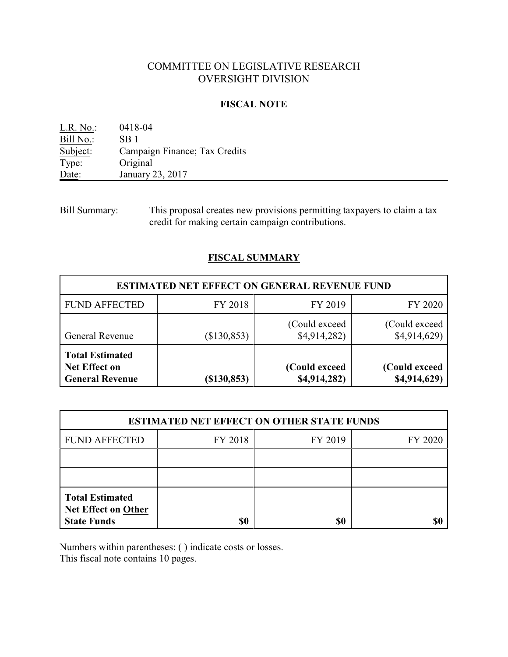## COMMITTEE ON LEGISLATIVE RESEARCH OVERSIGHT DIVISION

#### **FISCAL NOTE**

| $L.R. No.$ : | 0418-04                       |
|--------------|-------------------------------|
| Bill No.:    | SB 1                          |
| Subject:     | Campaign Finance; Tax Credits |
| Type:        | Original                      |
| Date:        | January 23, 2017              |

Bill Summary: This proposal creates new provisions permitting taxpayers to claim a tax credit for making certain campaign contributions.

## **FISCAL SUMMARY**

| <b>ESTIMATED NET EFFECT ON GENERAL REVENUE FUND</b>                                                                                                       |             |                                |                                |  |  |  |
|-----------------------------------------------------------------------------------------------------------------------------------------------------------|-------------|--------------------------------|--------------------------------|--|--|--|
| <b>FUND AFFECTED</b>                                                                                                                                      | FY 2018     | FY 2019                        | FY 2020                        |  |  |  |
| <b>General Revenue</b>                                                                                                                                    | (\$130,853) | (Could exceed)<br>\$4,914,282) | (Could exceed)<br>\$4,914,629) |  |  |  |
| <b>Total Estimated</b><br>(Could exceed<br><b>Net Effect on</b><br>(Could exceed<br>\$4,914,282)<br>\$4,914,629)<br><b>General Revenue</b><br>(\$130,853) |             |                                |                                |  |  |  |

| <b>ESTIMATED NET EFFECT ON OTHER STATE FUNDS</b>                                         |         |         |         |  |  |  |
|------------------------------------------------------------------------------------------|---------|---------|---------|--|--|--|
| <b>FUND AFFECTED</b>                                                                     | FY 2018 | FY 2019 | FY 2020 |  |  |  |
|                                                                                          |         |         |         |  |  |  |
|                                                                                          |         |         |         |  |  |  |
| <b>Total Estimated</b><br><b>Net Effect on Other</b><br><b>State Funds</b><br>\$0<br>\$0 |         |         |         |  |  |  |

Numbers within parentheses: ( ) indicate costs or losses.

This fiscal note contains 10 pages.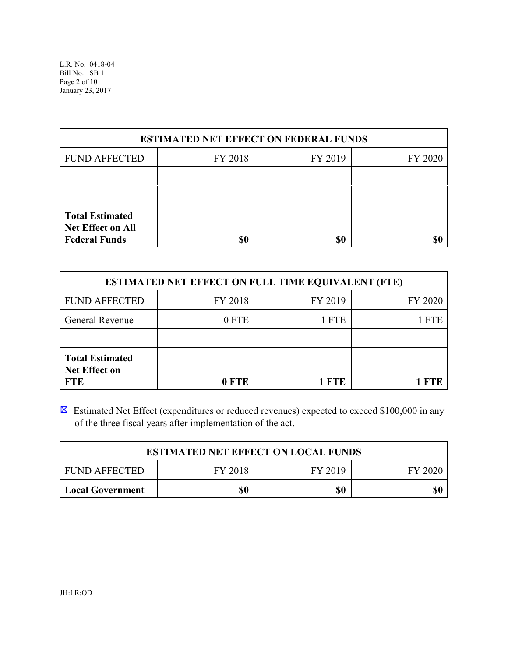| <b>ESTIMATED NET EFFECT ON FEDERAL FUNDS</b>                                      |                               |  |  |  |  |  |  |
|-----------------------------------------------------------------------------------|-------------------------------|--|--|--|--|--|--|
| <b>FUND AFFECTED</b>                                                              | FY 2018<br>FY 2019<br>FY 2020 |  |  |  |  |  |  |
|                                                                                   |                               |  |  |  |  |  |  |
|                                                                                   |                               |  |  |  |  |  |  |
| <b>Total Estimated</b><br>Net Effect on All<br><b>Federal Funds</b><br>\$0<br>\$0 |                               |  |  |  |  |  |  |

| <b>ESTIMATED NET EFFECT ON FULL TIME EQUIVALENT (FTE)</b>                           |         |         |         |  |  |
|-------------------------------------------------------------------------------------|---------|---------|---------|--|--|
| <b>FUND AFFECTED</b>                                                                | FY 2018 | FY 2019 | FY 2020 |  |  |
| <b>General Revenue</b>                                                              | 0 FTE   | 1 FTE   | FTE     |  |  |
|                                                                                     |         |         |         |  |  |
| <b>Total Estimated</b><br><b>Net Effect on</b><br><b>FTE</b><br>0 FTE<br><b>FTE</b> |         |         |         |  |  |

 $\boxtimes$  Estimated Net Effect (expenditures or reduced revenues) expected to exceed \$100,000 in any of the three fiscal years after implementation of the act.

| <b>ESTIMATED NET EFFECT ON LOCAL FUNDS</b>     |  |  |  |  |  |  |
|------------------------------------------------|--|--|--|--|--|--|
| FY 2018<br>FUND AFFECTED<br>FY 2019<br>EY 2020 |  |  |  |  |  |  |
| \$0<br>\$0<br>\$0<br>Local Government          |  |  |  |  |  |  |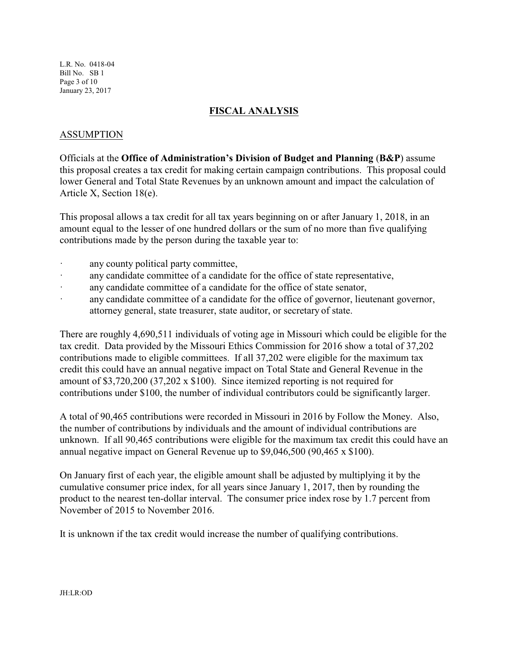L.R. No. 0418-04 Bill No. SB 1 Page 3 of 10 January 23, 2017

### **FISCAL ANALYSIS**

## ASSUMPTION

Officials at the **Office of Administration's Division of Budget and Planning** (**B&P**) assume this proposal creates a tax credit for making certain campaign contributions. This proposal could lower General and Total State Revenues by an unknown amount and impact the calculation of Article X, Section 18(e).

This proposal allows a tax credit for all tax years beginning on or after January 1, 2018, in an amount equal to the lesser of one hundred dollars or the sum of no more than five qualifying contributions made by the person during the taxable year to:

- any county political party committee,
- · any candidate committee of a candidate for the office of state representative,
- · any candidate committee of a candidate for the office of state senator,
- · any candidate committee of a candidate for the office of governor, lieutenant governor, attorney general, state treasurer, state auditor, or secretary of state.

There are roughly 4,690,511 individuals of voting age in Missouri which could be eligible for the tax credit. Data provided by the Missouri Ethics Commission for 2016 show a total of 37,202 contributions made to eligible committees. If all 37,202 were eligible for the maximum tax credit this could have an annual negative impact on Total State and General Revenue in the amount of \$3,720,200 (37,202 x \$100). Since itemized reporting is not required for contributions under \$100, the number of individual contributors could be significantly larger.

A total of 90,465 contributions were recorded in Missouri in 2016 by Follow the Money. Also, the number of contributions by individuals and the amount of individual contributions are unknown. If all 90,465 contributions were eligible for the maximum tax credit this could have an annual negative impact on General Revenue up to \$9,046,500 (90,465 x \$100).

On January first of each year, the eligible amount shall be adjusted by multiplying it by the cumulative consumer price index, for all years since January 1, 2017, then by rounding the product to the nearest ten-dollar interval. The consumer price index rose by 1.7 percent from November of 2015 to November 2016.

It is unknown if the tax credit would increase the number of qualifying contributions.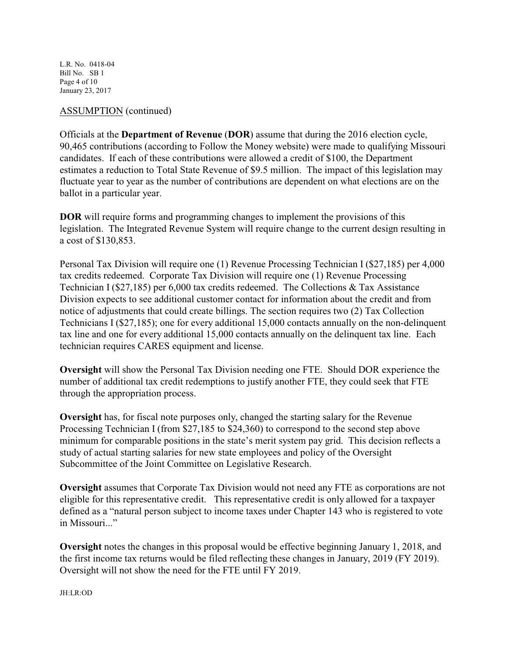L.R. No. 0418-04 Bill No. SB 1 Page 4 of 10 January 23, 2017

### ASSUMPTION (continued)

Officials at the **Department of Revenue** (**DOR**) assume that during the 2016 election cycle, 90,465 contributions (according to Follow the Money website) were made to qualifying Missouri candidates. If each of these contributions were allowed a credit of \$100, the Department estimates a reduction to Total State Revenue of \$9.5 million. The impact of this legislation may fluctuate year to year as the number of contributions are dependent on what elections are on the ballot in a particular year.

**DOR** will require forms and programming changes to implement the provisions of this legislation. The Integrated Revenue System will require change to the current design resulting in a cost of \$130,853.

Personal Tax Division will require one (1) Revenue Processing Technician I (\$27,185) per 4,000 tax credits redeemed. Corporate Tax Division will require one (1) Revenue Processing Technician I (\$27,185) per 6,000 tax credits redeemed. The Collections & Tax Assistance Division expects to see additional customer contact for information about the credit and from notice of adjustments that could create billings. The section requires two (2) Tax Collection Technicians I (\$27,185); one for every additional 15,000 contacts annually on the non-delinquent tax line and one for every additional 15,000 contacts annually on the delinquent tax line. Each technician requires CARES equipment and license.

**Oversight** will show the Personal Tax Division needing one FTE. Should DOR experience the number of additional tax credit redemptions to justify another FTE, they could seek that FTE through the appropriation process.

**Oversight** has, for fiscal note purposes only, changed the starting salary for the Revenue Processing Technician I (from \$27,185 to \$24,360) to correspond to the second step above minimum for comparable positions in the state's merit system pay grid. This decision reflects a study of actual starting salaries for new state employees and policy of the Oversight Subcommittee of the Joint Committee on Legislative Research.

**Oversight** assumes that Corporate Tax Division would not need any FTE as corporations are not eligible for this representative credit. This representative credit is only allowed for a taxpayer defined as a "natural person subject to income taxes under Chapter 143 who is registered to vote in Missouri..."

**Oversight** notes the changes in this proposal would be effective beginning January 1, 2018, and the first income tax returns would be filed reflecting these changes in January, 2019 (FY 2019). Oversight will not show the need for the FTE until FY 2019.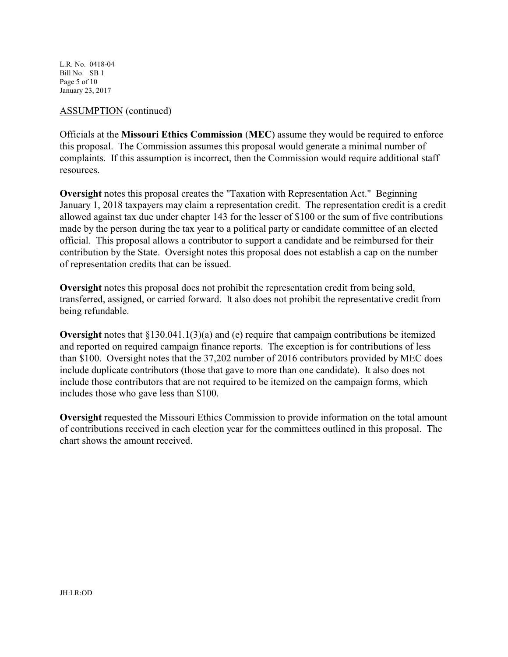L.R. No. 0418-04 Bill No. SB 1 Page 5 of 10 January 23, 2017

#### ASSUMPTION (continued)

Officials at the **Missouri Ethics Commission** (**MEC**) assume they would be required to enforce this proposal. The Commission assumes this proposal would generate a minimal number of complaints. If this assumption is incorrect, then the Commission would require additional staff resources.

**Oversight** notes this proposal creates the "Taxation with Representation Act." Beginning January 1, 2018 taxpayers may claim a representation credit. The representation credit is a credit allowed against tax due under chapter 143 for the lesser of \$100 or the sum of five contributions made by the person during the tax year to a political party or candidate committee of an elected official. This proposal allows a contributor to support a candidate and be reimbursed for their contribution by the State. Oversight notes this proposal does not establish a cap on the number of representation credits that can be issued.

**Oversight** notes this proposal does not prohibit the representation credit from being sold, transferred, assigned, or carried forward. It also does not prohibit the representative credit from being refundable.

**Oversight** notes that  $\frac{8130.041.1(3)}{a}$  and (e) require that campaign contributions be itemized and reported on required campaign finance reports. The exception is for contributions of less than \$100. Oversight notes that the 37,202 number of 2016 contributors provided by MEC does include duplicate contributors (those that gave to more than one candidate). It also does not include those contributors that are not required to be itemized on the campaign forms, which includes those who gave less than \$100.

**Oversight** requested the Missouri Ethics Commission to provide information on the total amount of contributions received in each election year for the committees outlined in this proposal. The chart shows the amount received.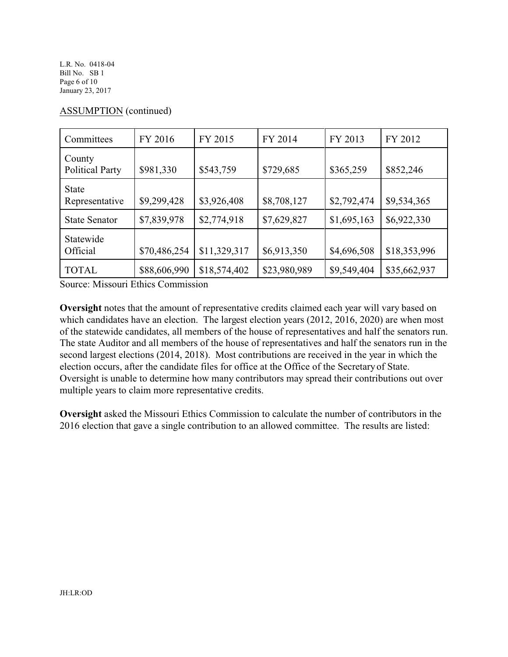L.R. No. 0418-04 Bill No. SB 1 Page 6 of 10 January 23, 2017

| Committees                       | FY 2016      | FY 2015      | FY 2014      | FY 2013     | FY 2012      |
|----------------------------------|--------------|--------------|--------------|-------------|--------------|
| County<br><b>Political Party</b> | \$981,330    | \$543,759    | \$729,685    | \$365,259   | \$852,246    |
| <b>State</b><br>Representative   | \$9,299,428  | \$3,926,408  | \$8,708,127  | \$2,792,474 | \$9,534,365  |
| <b>State Senator</b>             | \$7,839,978  | \$2,774,918  | \$7,629,827  | \$1,695,163 | \$6,922,330  |
| Statewide<br>Official            | \$70,486,254 | \$11,329,317 | \$6,913,350  | \$4,696,508 | \$18,353,996 |
| <b>TOTAL</b>                     | \$88,606,990 | \$18,574,402 | \$23,980,989 | \$9,549,404 | \$35,662,937 |

## ASSUMPTION (continued)

Source: Missouri Ethics Commission

**Oversight** notes that the amount of representative credits claimed each year will vary based on which candidates have an election. The largest election years (2012, 2016, 2020) are when most of the statewide candidates, all members of the house of representatives and half the senators run. The state Auditor and all members of the house of representatives and half the senators run in the second largest elections (2014, 2018). Most contributions are received in the year in which the election occurs, after the candidate files for office at the Office of the Secretary of State. Oversight is unable to determine how many contributors may spread their contributions out over multiple years to claim more representative credits.

**Oversight** asked the Missouri Ethics Commission to calculate the number of contributors in the 2016 election that gave a single contribution to an allowed committee. The results are listed: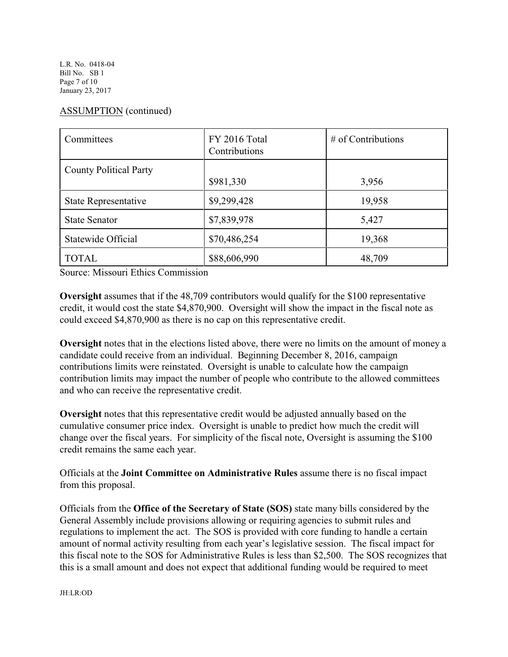L.R. No. 0418-04 Bill No. SB 1 Page 7 of 10 January 23, 2017

# ASSUMPTION (continued)

| Committees                    | FY 2016 Total<br>Contributions | $#$ of Contributions |
|-------------------------------|--------------------------------|----------------------|
| <b>County Political Party</b> | \$981,330                      | 3,956                |
| State Representative          | \$9,299,428                    | 19,958               |
| <b>State Senator</b>          | \$7,839,978                    | 5,427                |
| Statewide Official            | \$70,486,254                   | 19,368               |
| <b>TOTAL</b>                  | \$88,606,990                   | 48,709               |

Source: Missouri Ethics Commission

**Oversight** assumes that if the 48,709 contributors would qualify for the \$100 representative credit, it would cost the state \$4,870,900. Oversight will show the impact in the fiscal note as could exceed \$4,870,900 as there is no cap on this representative credit.

**Oversight** notes that in the elections listed above, there were no limits on the amount of money a candidate could receive from an individual. Beginning December 8, 2016, campaign contributions limits were reinstated. Oversight is unable to calculate how the campaign contribution limits may impact the number of people who contribute to the allowed committees and who can receive the representative credit.

**Oversight** notes that this representative credit would be adjusted annually based on the cumulative consumer price index. Oversight is unable to predict how much the credit will change over the fiscal years. For simplicity of the fiscal note, Oversight is assuming the \$100 credit remains the same each year.

Officials at the **Joint Committee on Administrative Rules** assume there is no fiscal impact from this proposal.

Officials from the **Office of the Secretary of State (SOS)** state many bills considered by the General Assembly include provisions allowing or requiring agencies to submit rules and regulations to implement the act. The SOS is provided with core funding to handle a certain amount of normal activity resulting from each year's legislative session. The fiscal impact for this fiscal note to the SOS for Administrative Rules is less than \$2,500. The SOS recognizes that this is a small amount and does not expect that additional funding would be required to meet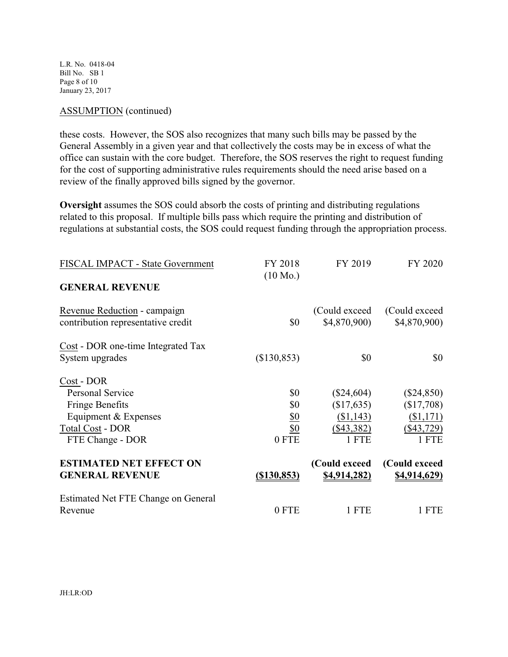L.R. No. 0418-04 Bill No. SB 1 Page 8 of 10 January 23, 2017

#### ASSUMPTION (continued)

these costs. However, the SOS also recognizes that many such bills may be passed by the General Assembly in a given year and that collectively the costs may be in excess of what the office can sustain with the core budget. Therefore, the SOS reserves the right to request funding for the cost of supporting administrative rules requirements should the need arise based on a review of the finally approved bills signed by the governor.

**Oversight** assumes the SOS could absorb the costs of printing and distributing regulations related to this proposal. If multiple bills pass which require the printing and distribution of regulations at substantial costs, the SOS could request funding through the appropriation process.

| FISCAL IMPACT - State Government                                   | FY 2018<br>$(10 \text{ Mo.})$ | FY 2019                       | FY 2020                        |
|--------------------------------------------------------------------|-------------------------------|-------------------------------|--------------------------------|
| <b>GENERAL REVENUE</b>                                             |                               |                               |                                |
| Revenue Reduction - campaign<br>contribution representative credit | \$0                           | (Could exceed)<br>\$4,870,900 | (Could exceed)<br>\$4,870,900) |
| Cost - DOR one-time Integrated Tax                                 |                               |                               |                                |
| System upgrades                                                    | (\$130,853)                   | \$0                           | \$0                            |
| Cost - DOR                                                         |                               |                               |                                |
| <b>Personal Service</b>                                            | \$0                           | $(\$24,604)$                  | $(\$24,850)$                   |
| <b>Fringe Benefits</b>                                             | \$0                           | (\$17,635)                    | (\$17,708)                     |
| Equipment & Expenses                                               | <u>\$0</u>                    | (\$1,143)                     | (\$1,171)                      |
| <b>Total Cost - DOR</b>                                            | $\underline{\$0}$             | $(\$43,382)$                  | $(\$43,729)$                   |
| FTE Change - DOR                                                   | 0 FTE                         | 1 FTE                         | 1 FTE                          |
| <b>ESTIMATED NET EFFECT ON</b>                                     |                               | (Could exceed                 | (Could exceed                  |
| <b>GENERAL REVENUE</b>                                             | $($ \$130,853)                | <u>\$4,914,282)</u>           | <u>\$4,914,629)</u>            |
| Estimated Net FTE Change on General                                |                               |                               |                                |
| Revenue                                                            | 0 FTE                         | 1 FTE                         | 1 FTE                          |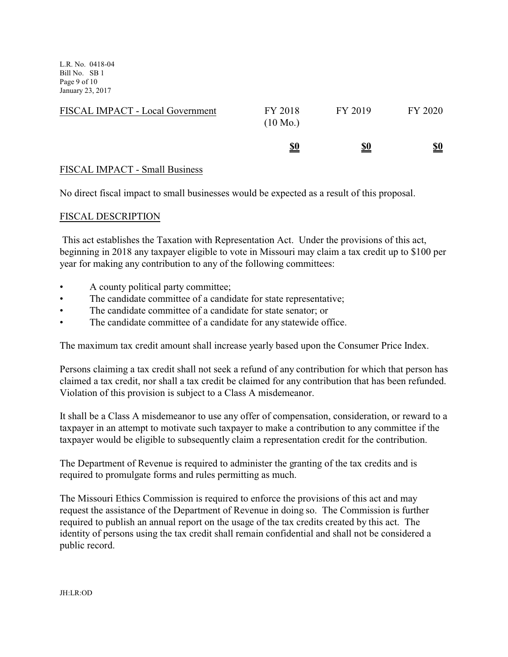L.R. No. 0418-04 Bill No. SB 1 Page 9 of 10 January 23, 2017

| FISCAL IMPACT - Local Government | FY 2018<br>$(10 \text{ Mo.})$ | FY 2019    | FY 2020    |
|----------------------------------|-------------------------------|------------|------------|
|                                  | <u>\$0</u>                    | <u>\$0</u> | <u>\$0</u> |

## FISCAL IMPACT - Small Business

No direct fiscal impact to small businesses would be expected as a result of this proposal.

#### FISCAL DESCRIPTION

 This act establishes the Taxation with Representation Act. Under the provisions of this act, beginning in 2018 any taxpayer eligible to vote in Missouri may claim a tax credit up to \$100 per year for making any contribution to any of the following committees:

- A county political party committee;
- The candidate committee of a candidate for state representative;
- The candidate committee of a candidate for state senator; or
- The candidate committee of a candidate for any statewide office.

The maximum tax credit amount shall increase yearly based upon the Consumer Price Index.

Persons claiming a tax credit shall not seek a refund of any contribution for which that person has claimed a tax credit, nor shall a tax credit be claimed for any contribution that has been refunded. Violation of this provision is subject to a Class A misdemeanor.

It shall be a Class A misdemeanor to use any offer of compensation, consideration, or reward to a taxpayer in an attempt to motivate such taxpayer to make a contribution to any committee if the taxpayer would be eligible to subsequently claim a representation credit for the contribution.

The Department of Revenue is required to administer the granting of the tax credits and is required to promulgate forms and rules permitting as much.

The Missouri Ethics Commission is required to enforce the provisions of this act and may request the assistance of the Department of Revenue in doing so. The Commission is further required to publish an annual report on the usage of the tax credits created by this act. The identity of persons using the tax credit shall remain confidential and shall not be considered a public record.